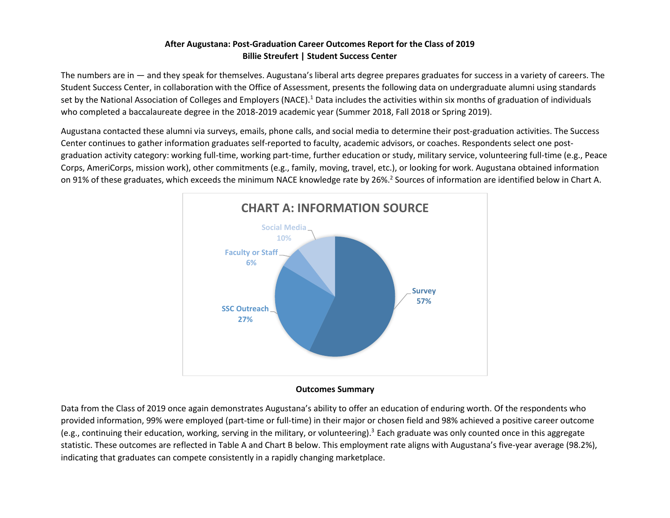# **After Augustana: Post-Graduation Career Outcomes Report for the Class of 2019 Billie Streufert | Student Success Center**

The numbers are in — and they speak for themselves. Augustana's liberal arts degree prepares graduates for success in a variety of careers. The Student Success Center, in collaboration with the Office of Assessment, presents the following data on undergraduate alumni using standards set by the National Association of Colleges and Employers (NACE).<sup>1</sup> Data includes the activities within six months of graduation of individuals who completed a baccalaureate degree in the 2018-2019 academic year (Summer 2018, Fall 2018 or Spring 2019).

Augustana contacted these alumni via surveys, emails, phone calls, and social media to determine their post-graduation activities. The Success Center continues to gather information graduates self-reported to faculty, academic advisors, or coaches. Respondents select one postgraduation activity category: working full-time, working part-time, further education or study, military service, volunteering full-time (e.g., Peace Corps, AmeriCorps, mission work), other commitments (e.g., family, moving, travel, etc.), or looking for work. Augustana obtained information on 91% of these graduates, which exceeds the minimum NACE knowledge rate by 26%.<sup>2</sup> Sources of information are identified below in Chart A.



### **Outcomes Summary**

Data from the Class of 2019 once again demonstrates Augustana's ability to offer an education of enduring worth. Of the respondents who provided information, 99% were employed (part-time or full-time) in their major or chosen field and 98% achieved a positive career outcome (e.g., continuing their education, working, serving in the military, or volunteering).<sup>3</sup> Each graduate was only counted once in this aggregate statistic. These outcomes are reflected in Table A and Chart B below. This employment rate aligns with Augustana's five-year average (98.2%), indicating that graduates can compete consistently in a rapidly changing marketplace.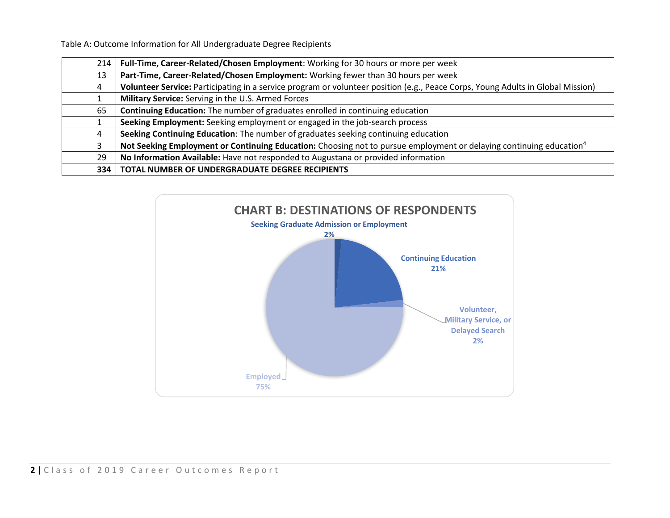Table A: Outcome Information for All Undergraduate Degree Recipients

| 214 | Full-Time, Career-Related/Chosen Employment: Working for 30 hours or more per week                                              |
|-----|---------------------------------------------------------------------------------------------------------------------------------|
| 13  | Part-Time, Career-Related/Chosen Employment: Working fewer than 30 hours per week                                               |
|     | Volunteer Service: Participating in a service program or volunteer position (e.g., Peace Corps, Young Adults in Global Mission) |
|     | Military Service: Serving in the U.S. Armed Forces                                                                              |
| 65  | Continuing Education: The number of graduates enrolled in continuing education                                                  |
|     | Seeking Employment: Seeking employment or engaged in the job-search process                                                     |
|     | Seeking Continuing Education: The number of graduates seeking continuing education                                              |
|     | Not Seeking Employment or Continuing Education: Choosing not to pursue employment or delaying continuing education <sup>4</sup> |
| 29  | No Information Available: Have not responded to Augustana or provided information                                               |
|     | 334   TOTAL NUMBER OF UNDERGRADUATE DEGREE RECIPIENTS                                                                           |

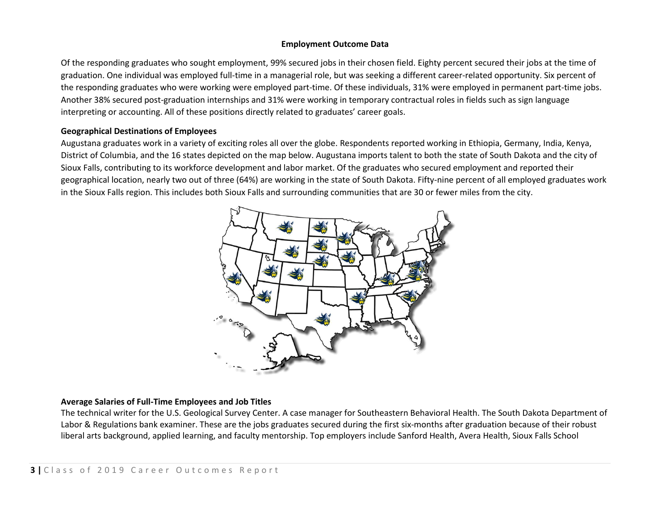### **Employment Outcome Data**

Of the responding graduates who sought employment, 99% secured jobs in their chosen field. Eighty percent secured their jobs at the time of graduation. One individual was employed full-time in a managerial role, but was seeking a different career-related opportunity. Six percent of the responding graduates who were working were employed part-time. Of these individuals, 31% were employed in permanent part-time jobs. Another 38% secured post-graduation internships and 31% were working in temporary contractual roles in fields such as sign language interpreting or accounting. All of these positions directly related to graduates' career goals.

## **Geographical Destinations of Employees**

Augustana graduates work in a variety of exciting roles all over the globe. Respondents reported working in Ethiopia, Germany, India, Kenya, District of Columbia, and the 16 states depicted on the map below. Augustana imports talent to both the state of South Dakota and the city of Sioux Falls, contributing to its workforce development and labor market. Of the graduates who secured employment and reported their geographical location, nearly two out of three (64%) are working in the state of South Dakota. Fifty-nine percent of all employed graduates work in the Sioux Falls region. This includes both Sioux Falls and surrounding communities that are 30 or fewer miles from the city.



## **Average Salaries of Full-Time Employees and Job Titles**

The technical writer for the U.S. Geological Survey Center. A case manager for Southeastern Behavioral Health. The South Dakota Department of Labor & Regulations bank examiner. These are the jobs graduates secured during the first six-months after graduation because of their robust liberal arts background, applied learning, and faculty mentorship. Top employers include Sanford Health, Avera Health, Sioux Falls School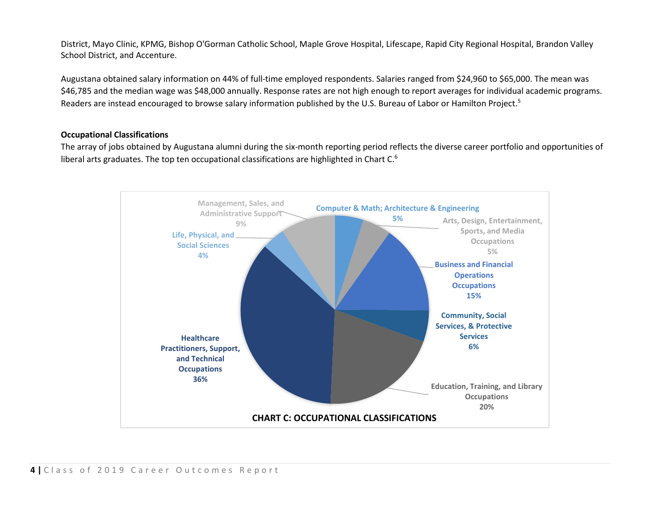District, Mayo Clinic, KPMG, Bishop O'Gorman Catholic School, Maple Grove Hospital, Lifescape, Rapid City Regional Hospital, Brandon Valley School District, and Accenture.

Augustana obtained salary information on 44% of full-time employed respondents. Salaries ranged from \$24,960 to \$65,000. The mean was \$46,785 and the median wage was \$48,000 annually. Response rates are not high enough to report averages for individual academic programs. Readers are instead encouraged to browse salary information published by the U.S. Bureau of Labor or Hamilton Project.<sup>5</sup>

## **Occupational Classifications**

The array of jobs obtained by Augustana alumni during the six-month reporting period reflects the diverse career portfolio and opportunities of liberal arts graduates. The top ten occupational classifications are highlighted in Chart  $C<sup>6</sup>$ 

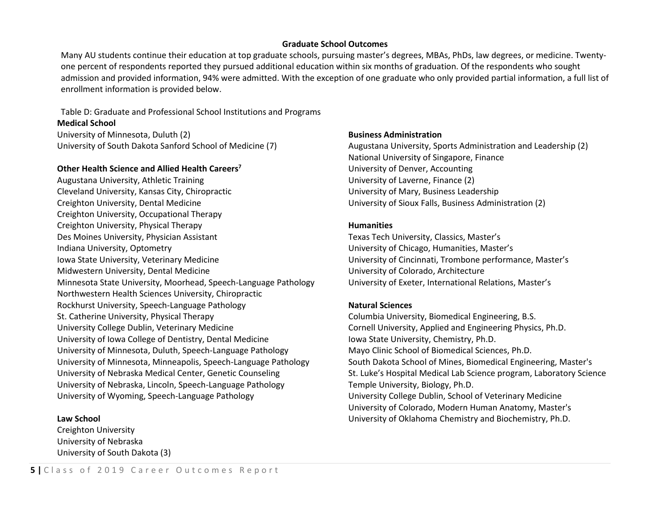### **Graduate School Outcomes**

Many AU students continue their education at top graduate schools, pursuing master's degrees, MBAs, PhDs, law degrees, or medicine. Twentyone percent of respondents reported they pursued additional education within six months of graduation. Of the respondents who sought admission and provided information, 94% were admitted. With the exception of one graduate who only provided partial information, a full list of enrollment information is provided below.

#### Table D: Graduate and Professional School Institutions and Programs **Medical School**

University of Minnesota, Duluth (2) University of South Dakota Sanford School of Medicine (7)

#### **Other Health Science and Allied Health Careers<sup>7</sup>**

Augustana University, Athletic Training Cleveland University, Kansas City, Chiropractic Creighton University, Dental Medicine Creighton University, Occupational Therapy Creighton University, Physical Therapy Des Moines University, Physician Assistant Indiana University, Optometry Iowa State University, Veterinary Medicine Midwestern University, Dental Medicine Minnesota State University, Moorhead, Speech-Language Pathology Northwestern Health Sciences University, Chiropractic Rockhurst University, Speech-Language Pathology St. Catherine University, Physical Therapy University College Dublin, Veterinary Medicine University of Iowa College of Dentistry, Dental Medicine University of Minnesota, Duluth, Speech-Language Pathology University of Minnesota, Minneapolis, Speech-Language Pathology University of Nebraska Medical Center, Genetic Counseling University of Nebraska, Lincoln, Speech-Language Pathology University of Wyoming, Speech-Language Pathology

### **Law School**

Creighton University University of Nebraska University of South Dakota (3)

#### **Business Administration**

Augustana University, Sports Administration and Leadership (2) National University of Singapore, Finance University of Denver, Accounting University of Laverne, Finance (2) University of Mary, Business Leadership University of Sioux Falls, Business Administration (2)

#### **Humanities**

Texas Tech University, Classics, Master's University of Chicago, Humanities, Master's University of Cincinnati, Trombone performance, Master's University of Colorado, Architecture University of Exeter, International Relations, Master's

### **Natural Sciences**

Columbia University, Biomedical Engineering, B.S. Cornell University, Applied and Engineering Physics, Ph.D. Iowa State University, Chemistry, Ph.D. Mayo Clinic School of Biomedical Sciences, Ph.D. South Dakota School of Mines, Biomedical Engineering, Master's St. Luke's Hospital Medical Lab Science program, Laboratory Science Temple University, Biology, Ph.D. University College Dublin, School of Veterinary Medicine University of Colorado, Modern Human Anatomy, Master's University of Oklahoma Chemistry and Biochemistry, Ph.D.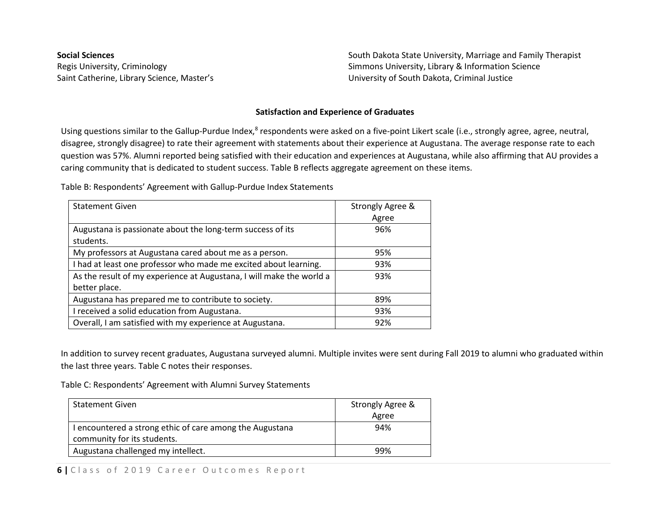**Social Sciences** Regis University, Criminology Saint Catherine, Library Science, Master's South Dakota State University, Marriage and Family Therapist Simmons University, Library & Information Science University of South Dakota, Criminal Justice

#### **Satisfaction and Experience of Graduates**

Using questions similar to the Gallup-Purdue Index,<sup>8</sup> respondents were asked on a five-point Likert scale (i.e., strongly agree, agree, neutral, disagree, strongly disagree) to rate their agreement with statements about their experience at Augustana. The average response rate to each question was 57%. Alumni reported being satisfied with their education and experiences at Augustana, while also affirming that AU provides a caring community that is dedicated to student success. Table B reflects aggregate agreement on these items.

Table B: Respondents' Agreement with Gallup-Purdue Index Statements

| <b>Statement Given</b>                                                                | Strongly Agree & |
|---------------------------------------------------------------------------------------|------------------|
|                                                                                       | Agree            |
| Augustana is passionate about the long-term success of its<br>students.               | 96%              |
| My professors at Augustana cared about me as a person.                                | 95%              |
| I had at least one professor who made me excited about learning.                      | 93%              |
| As the result of my experience at Augustana, I will make the world a<br>better place. | 93%              |
| Augustana has prepared me to contribute to society.                                   | 89%              |
| I received a solid education from Augustana.                                          | 93%              |
| Overall, I am satisfied with my experience at Augustana.                              | 92%              |

In addition to survey recent graduates, Augustana surveyed alumni. Multiple invites were sent during Fall 2019 to alumni who graduated within the last three years. Table C notes their responses.

Table C: Respondents' Agreement with Alumni Survey Statements

| <b>Statement Given</b>                                   | Strongly Agree & |
|----------------------------------------------------------|------------------|
|                                                          | Agree            |
| I encountered a strong ethic of care among the Augustana | 94%              |
| community for its students.                              |                  |
| Augustana challenged my intellect.                       | 99%              |

**6** | Class of 2019 Career Outcomes Report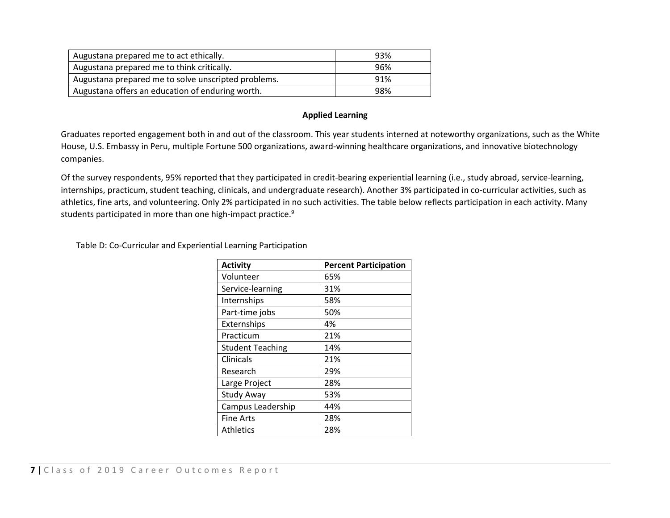| Augustana prepared me to act ethically.             | 93% |
|-----------------------------------------------------|-----|
| Augustana prepared me to think critically.          | 96% |
| Augustana prepared me to solve unscripted problems. | 91% |
| Augustana offers an education of enduring worth.    | 98% |

## **Applied Learning**

Graduates reported engagement both in and out of the classroom. This year students interned at noteworthy organizations, such as the White House, U.S. Embassy in Peru, multiple Fortune 500 organizations, award-winning healthcare organizations, and innovative biotechnology companies.

Of the survey respondents, 95% reported that they participated in credit-bearing experiential learning (i.e., study abroad, service-learning, internships, practicum, student teaching, clinicals, and undergraduate research). Another 3% participated in co-curricular activities, such as athletics, fine arts, and volunteering. Only 2% participated in no such activities. The table below reflects participation in each activity. Many students participated in more than one high-impact practice.<sup>9</sup>

Table D: Co-Curricular and Experiential Learning Participation

| <b>Activity</b>         | <b>Percent Participation</b> |
|-------------------------|------------------------------|
| Volunteer               | 65%                          |
| Service-learning        | 31%                          |
| Internships             | 58%                          |
| Part-time jobs          | 50%                          |
| Externships             | 4%                           |
| Practicum               | 21%                          |
| <b>Student Teaching</b> | 14%                          |
| Clinicals               | 21%                          |
| Research                | 29%                          |
| Large Project           | 28%                          |
| Study Away              | 53%                          |
| Campus Leadership       | 44%                          |
| <b>Fine Arts</b>        | 28%                          |
| <b>Athletics</b>        | 28%                          |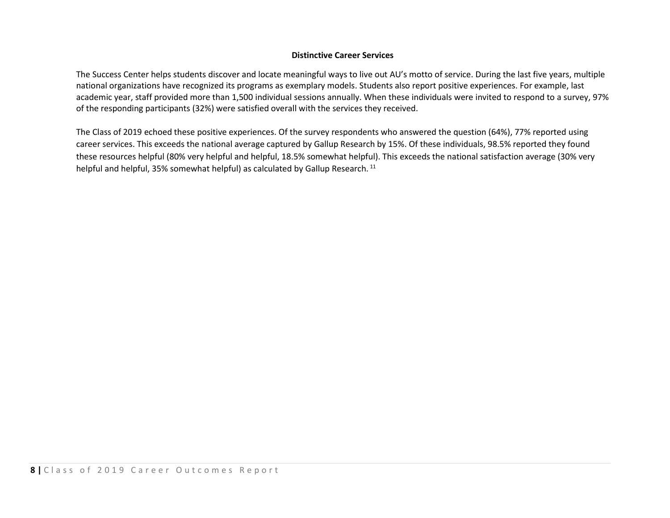## **Distinctive Career Services**

The Success Center helps students discover and locate meaningful ways to live out AU's motto of service. During the last five years, multiple national organizations have recognized its programs as exemplary models. Students also report positive experiences. For example, last academic year, staff provided more than 1,500 individual sessions annually. When these individuals were invited to respond to a survey, 97% of the responding participants (32%) were satisfied overall with the services they received.

The Class of 2019 echoed these positive experiences. Of the survey respondents who answered the question (64%), 77% reported using career services. This exceeds the national average captured by Gallup Research by 15%. Of these individuals, 98.5% reported they found these resources helpful (80% very helpful and helpful, 18.5% somewhat helpful). This exceeds the national satisfaction average (30% very helpful and helpful, 35% somewhat helpful) as calculated by Gallup Research.<sup>11</sup>